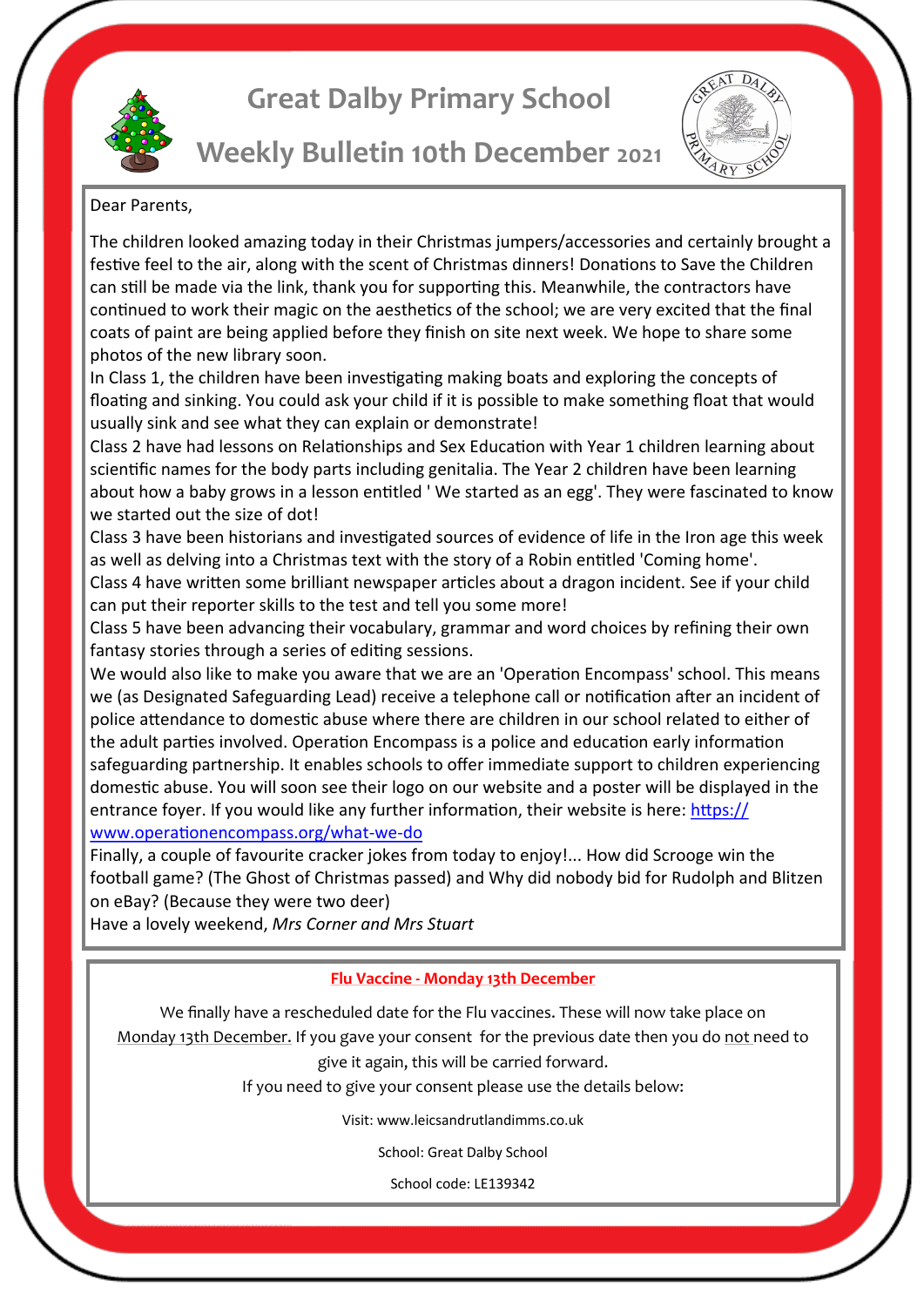

# **Great Dalby Primary School**



### Dear Parents,

The children looked amazing today in their Christmas jumpers/accessories and certainly brought a festive feel to the air, along with the scent of Christmas dinners! Donations to Save the Children can still be made via the link, thank you for supporting this. Meanwhile, the contractors have continued to work their magic on the aesthetics of the school; we are very excited that the final coats of paint are being applied before they finish on site next week. We hope to share some photos of the new library soon.

In Class 1, the children have been investigating making boats and exploring the concepts of floating and sinking. You could ask your child if it is possible to make something float that would usually sink and see what they can explain or demonstrate!

Class 2 have had lessons on Relationships and Sex Education with Year 1 children learning about scientific names for the body parts including genitalia. The Year 2 children have been learning about how a baby grows in a lesson entitled ' We started as an egg'. They were fascinated to know we started out the size of dot!

Class 3 have been historians and investigated sources of evidence of life in the Iron age this week as well as delving into a Christmas text with the story of a Robin entitled 'Coming home'.

Class 4 have written some brilliant newspaper articles about a dragon incident. See if your child can put their reporter skills to the test and tell you some more!

Class 5 have been advancing their vocabulary, grammar and word choices by refining their own fantasy stories through a series of editing sessions.

We would also like to make you aware that we are an 'Operation Encompass' school. This means we (as Designated Safeguarding Lead) receive a telephone call or notification after an incident of police attendance to domestic abuse where there are children in our school related to either of the adult parties involved. Operation Encompass is a police and education early information safeguarding partnership. It enables schools to offer immediate support to children experiencing domestic abuse. You will soon see their logo on our website and a poster will be displayed in the entrance foyer. If you would like any further information, their website is here: [https://](https://www.operationencompass.org/what-we-do) [www.operationencompass.org/what](https://www.operationencompass.org/what-we-do)-we-do

Finally, a couple of favourite cracker jokes from today to enjoy!... How did Scrooge win the football game? (The Ghost of Christmas passed) and Why did nobody bid for Rudolph and Blitzen on eBay? (Because they were two deer)

Have a lovely weekend, *Mrs Corner and Mrs Stuart*

#### **Flu Vaccine - Monday 13th December**

We finally have a rescheduled date for the Flu vaccines. These will now take place on Monday 13th December. If you gave your consent for the previous date then you do not need to give it again, this will be carried forward.

If you need to give your consent please use the details below:

Visit: www.leicsandrutlandimms.co.uk

School: Great Dalby School

School code: LE139342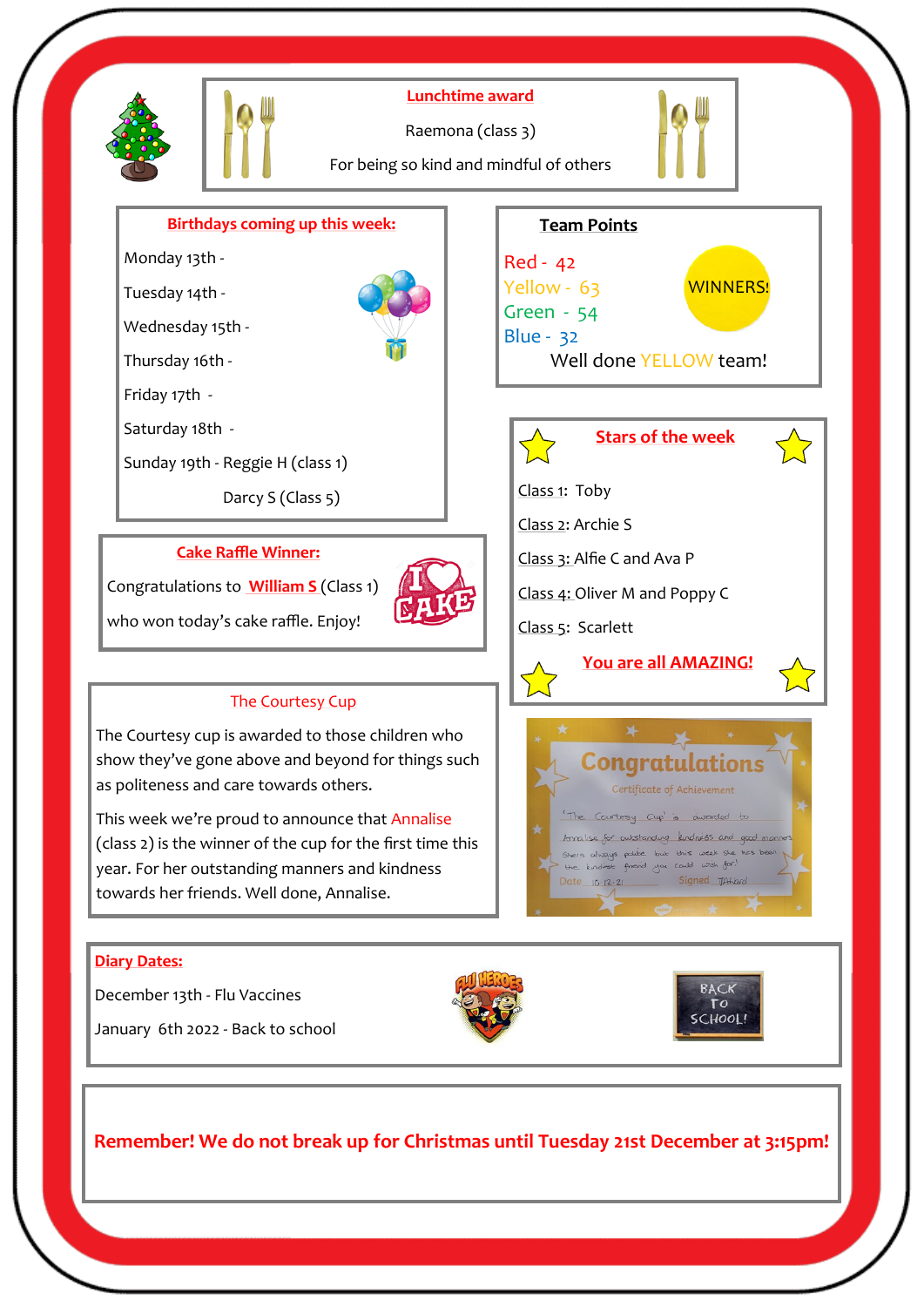

**Remember! We do not break up for Christmas until Tuesday 21st December at 3:15pm!**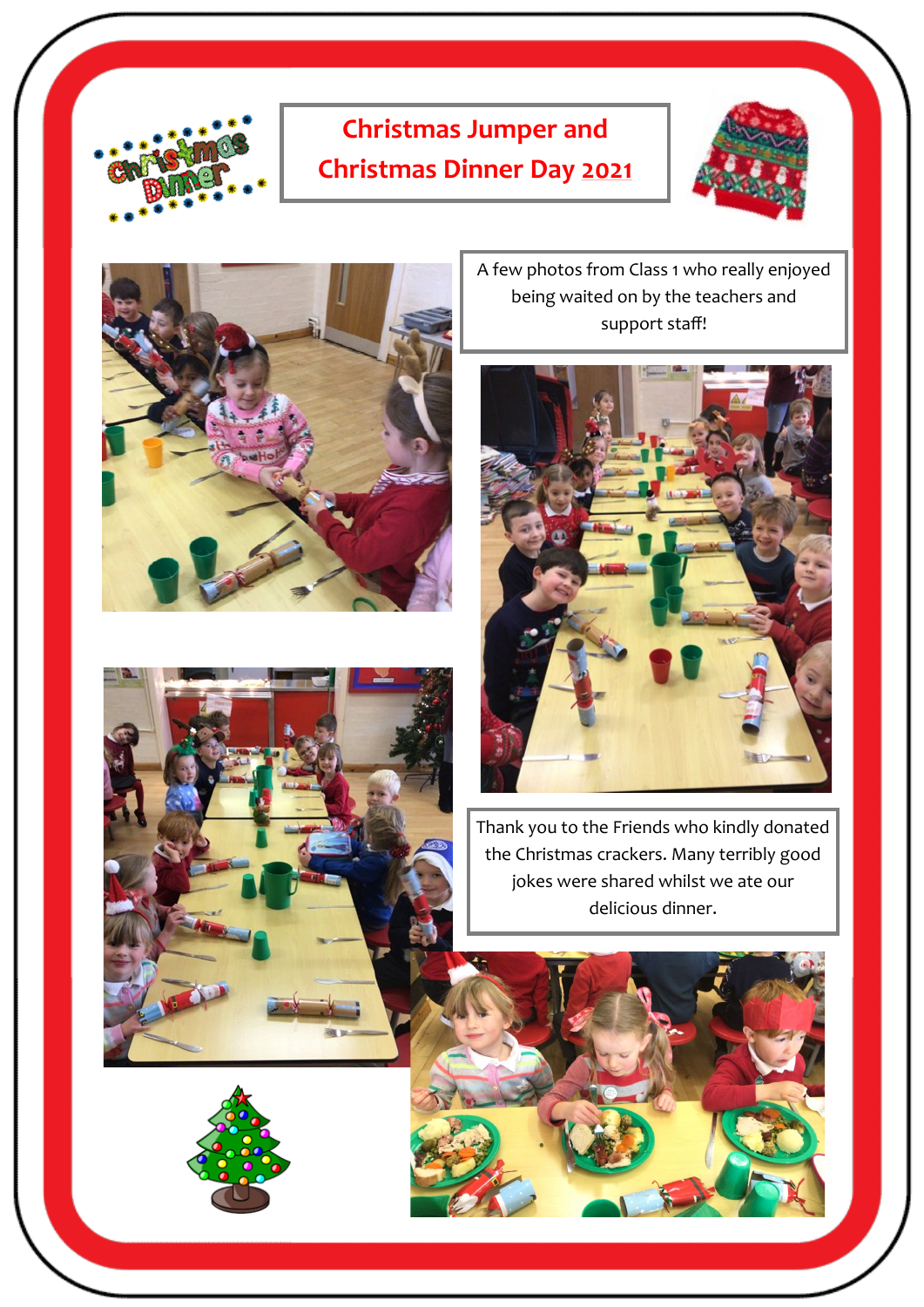

# **Christmas Jumper and Christmas Dinner Day 2021**





A few photos from Class 1 who really enjoyed being waited on by the teachers and support staff!



Thank you to the Friends who kindly donated the Christmas crackers. Many terribly good jokes were shared whilst we ate our delicious dinner.